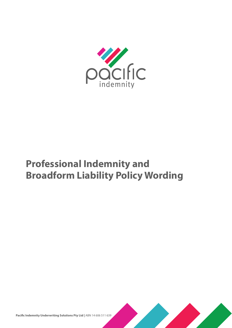

# **Professional Indemnity and Broadform Liability Policy Wording**



**Pacific Indemnity Underwriting Solutions Pty Ltd |** ABN 14 606 511 639

i | Professional Indemnity and Broadform Liability Policy Wording - PIUS PIBL 1017a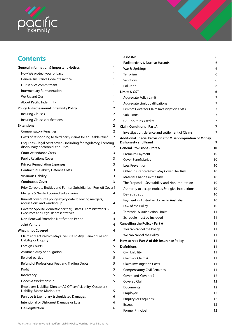

## **Contents**

|                                               | <b>General Information &amp; Important Notices</b>                                                         | 1 |
|-----------------------------------------------|------------------------------------------------------------------------------------------------------------|---|
|                                               | How We protect your privacy                                                                                | 1 |
|                                               | <b>General Insurance Code of Practice</b>                                                                  | 1 |
|                                               | Our service commitment                                                                                     | 1 |
|                                               | Intermediary Remuneration                                                                                  | 1 |
|                                               | We, Us and Our                                                                                             | 1 |
|                                               | About Pacific Indemnity                                                                                    | 1 |
| Policy A - Professional Indemnity Policy<br>2 |                                                                                                            |   |
|                                               | <b>Insuring Clauses</b>                                                                                    | 2 |
|                                               | Insuring Clause clarifications                                                                             | 2 |
|                                               | Extensions                                                                                                 | 2 |
|                                               | <b>Compensatory Penalties</b>                                                                              | 2 |
|                                               | Costs of responding to third party claims for equitable relief                                             | 2 |
|                                               | Enquiries - legal costs cover - including for regulatory, licensing,<br>disciplinary or coronial enquiries | 2 |
|                                               | <b>Court Attendance Costs</b>                                                                              | 3 |
|                                               | <b>Public Relations Cover</b>                                                                              | 3 |
|                                               | <b>Privacy Remediation Expenses</b>                                                                        | 3 |
|                                               | <b>Contractual Liability Defence Costs</b>                                                                 | 3 |
|                                               | <b>Vicarious Liability</b>                                                                                 | 3 |
|                                               | <b>Continuous Cover</b>                                                                                    | 3 |
|                                               | Prior Corporate Entities and Former Subsidiaries - Run-off Cover4                                          |   |
|                                               | Mergers & Newly Acquired Subsidiaries                                                                      | 4 |
|                                               | Run-off cover until policy expiry date following mergers,<br>acquisitions and winding up                   | 4 |
|                                               | Cover to Spouse, domestic partner, Estates, Administrators &<br><b>Executors and Legal Representatives</b> | 4 |
|                                               | Non-Renewal Extended Notification Period                                                                   | 4 |
|                                               | Joint Venture                                                                                              | 4 |
|                                               | What is not Covered                                                                                        | 4 |
|                                               | Claims or Facts Which May Give Rise To Any Claim or Loss or<br>Liability or Enquiry                        | 4 |
|                                               | <b>Foreign Courts</b>                                                                                      | 5 |
|                                               | Assumed duty or obligation                                                                                 | 5 |
|                                               | <b>Related parties</b>                                                                                     | 5 |
|                                               | Refund of Professional Fees and Trading Debts                                                              | 5 |
|                                               | Profit                                                                                                     | 5 |
|                                               | Insolvency                                                                                                 | 5 |
|                                               | Goods & Workmanship                                                                                        | 5 |
|                                               | Employers Liability, Directors' & Officers' Liability, Occupier's<br>Liability, Motor, Marine, etc         | 5 |
|                                               | Punitive & Exemplary & Liquidated Damages                                                                  | 6 |
|                                               | Intentional or Dishonest Damage or Loss                                                                    | 6 |
|                                               | De-Registration                                                                                            | 6 |
|                                               |                                                                                                            |   |

| Asbestos                                                                                    | 6  |
|---------------------------------------------------------------------------------------------|----|
| Radioactivity & Nuclear Hazards                                                             | 6  |
| War & Uprisings                                                                             | 6  |
| Terrorism                                                                                   | 6  |
| Sanctions                                                                                   | 6  |
| Pollution                                                                                   | 6  |
| <b>Limits &amp; GST</b>                                                                     | 6  |
| Aggregate Policy Limit                                                                      | 7  |
| Aggregate Limit qualifications                                                              | 7  |
| Limit of Cover for Claim Investigation Costs                                                | 7  |
| Sub Limits                                                                                  | 7  |
| <b>GST Input Tax Credits</b>                                                                | 7  |
| <b>Claim Conditions - Part A</b>                                                            | 7  |
| Investigation, defence and settlement of Claims                                             | 7  |
| Additional Special Provisions for Misappropriation of Money,<br><b>Dishonesty and Fraud</b> | 9  |
| <b>General Provisions - Part A</b>                                                          | 10 |
| Premium Payment                                                                             | 10 |
| <b>Cover Beneficiaries</b>                                                                  | 10 |
| <b>Loss Prevention</b>                                                                      | 10 |
| Other Insurance Which May Cover The Risk                                                    | 10 |
| Material Change in the Risk                                                                 | 10 |
| The Proposal – Severability and Non-imputation                                              | 10 |
| Authority to accept notices & to give instructions                                          | 10 |
| De-registration                                                                             | 10 |
| Payment in Australian dollars in Australia                                                  | 10 |
| Law of the Policy                                                                           | 10 |
| <b>Territorial &amp; Jurisdiction Limits</b>                                                | 11 |
| Schedule must be included                                                                   | 11 |
| <b>Cancelling the Policy - Part A</b>                                                       | 11 |
| You can cancel the Policy                                                                   | 11 |
| We can cancel the Policy                                                                    | 11 |
| How to read Part A of this Insurance Policy                                                 | 11 |
| <b>Definitions</b>                                                                          | 11 |
| Civil Liability                                                                             | 11 |
| Claim (or Claims)                                                                           | 11 |
| <b>Claim Investigation Costs</b>                                                            | 11 |
| <b>Compensatory Civil Penalties</b>                                                         | 11 |
| Cover (and 'Covered')                                                                       | 12 |
| <b>Covered Claim</b>                                                                        | 12 |
| Documents                                                                                   | 12 |
| Employee                                                                                    | 12 |
| <b>Enquiry (or Enquiries)</b>                                                               | 12 |
| <b>Excess</b>                                                                               | 12 |

I.

[Former Principal](#page-15-0) 12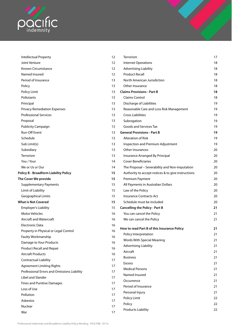

| Intellectual Property<br>Joint Venture       | 12<br>12 | Terrorism<br><b>Internet Operations</b>            | 17<br>18 |
|----------------------------------------------|----------|----------------------------------------------------|----------|
| Known Circumstance                           | 12       | <b>Advertising Liability</b>                       | 18       |
| Named Insured                                | 12       | <b>Product Recall</b>                              | 18       |
| Period of Insurance                          | 13       | North American Jurisdiction                        | 18       |
| Policy                                       | 13       | Other Insurance                                    | 18       |
| Policy Limit                                 | 13       | <b>Claims Provisions - Part B</b>                  | 18       |
| Pollutants                                   | 13       | <b>Claims Control</b>                              | 18       |
| Principal                                    | 13       | Discharge of Liabilities                           | 19       |
| <b>Privacy Remediation Expenses</b>          | 13       | Reasonable Care and Loss Risk Management           | 19       |
| <b>Professional Services</b>                 | 13       | <b>Cross Liabilities</b>                           | 19       |
| Proposal                                     | 13       | Subrogation                                        | 19       |
| <b>Publicity Campaign</b>                    | 13       | Goods and Services Tax                             | 19       |
| Run-Off Event                                | 13       | <b>General Provisions - Part B</b>                 | 19       |
| Schedule                                     | 13       | <b>Alteration of Risk</b>                          | 19       |
| Sub Limit(s)                                 | 13       | Inspection and Premium Adjustment                  | 19       |
| Subsidiary                                   | 13       | <b>Other Insurances</b>                            | 20       |
| Terrorism                                    | 13       | Insurance Arranged By Principal                    | 20       |
| You / Your                                   | 14       | <b>Cover Beneficiaries</b>                         | 20       |
| We or Us or Our                              | 14       | The Proposal - Severability and Non-imputation     | 20       |
| <b>Policy B - Broadform Liability Policy</b> | 15       | Authority to accept notices & to give instructions | 20       |
| The Cover We provide                         | 15       | Premium Payment                                    | 20       |
| <b>Supplementary Payments</b>                | 15       | All Payments in Australian Dollars                 | 20       |
| Limit of Liability                           | 15       | Law of the Policy                                  | 20       |
| <b>Geographical Limits</b>                   | 15       | <b>Insurance Contracts Act</b>                     | 20       |
| <b>What is Not Covered</b>                   | 15       | Schedule must be included                          | 20       |
| <b>Employer's Liability</b>                  | 15       | <b>Cancelling the Policy - Part B</b>              | 21       |
| <b>Motor Vehicles</b>                        | 16       | You can cancel the Policy                          | 21       |
| Aircraft and Watercraft                      | 16       | We can cancel the Policy                           | 21       |
| Electronic Data                              | 16       |                                                    |          |
| Property in Physical or Legal Control        | 16       | How to read Part B of this Insurance Policy        | 21       |
| Faulty Workmanship                           | 16       | Policy Interpretation                              | 21       |
| Damage to Your Products                      | 16       | Words With Special Meaning                         | 21       |
| Product Recall and Repair                    | 16       | <b>Advertising Liability</b>                       | 21       |
| <b>Aircraft Products</b>                     | 16       | Aircraft                                           | 21       |
| <b>Contractual Liability</b>                 | 17       | <b>Business</b>                                    | 21       |
| <b>Agreement Limiting Rights</b>             | 17       | <b>Excess</b>                                      | 21       |
| Professional Errors and Omissions Liability  | 17       | <b>Medical Persons</b>                             | 21       |
| Libel and Slander                            | 17       | Named Insured                                      | 21       |
| <b>Fines and Punitive Damages</b>            | 17       | Occurrence                                         | 21       |
| Loss of Use                                  | 17       | Period of Insurance                                | 21       |
| Pollution                                    | 17       | Personal Injury                                    | 21       |
| Asbestos                                     | 17       | Policy Limit                                       | 22       |
| Nuclear                                      | 17       | Policy                                             | 22       |
|                                              |          | <b>Products Liability</b>                          | 22       |

|              | Terrorism                                          | 17 |
|--------------|----------------------------------------------------|----|
|              | <b>Internet Operations</b>                         | 18 |
|              | <b>Advertising Liability</b>                       | 18 |
|              | <b>Product Recall</b>                              | 18 |
|              | North American Jurisdiction                        | 18 |
|              | Other Insurance                                    | 18 |
|              | <b>Claims Provisions - Part B</b>                  | 18 |
|              | Claims Control                                     | 18 |
|              | Discharge of Liabilities                           | 19 |
|              | Reasonable Care and Loss Risk Management           | 19 |
|              | <b>Cross Liabilities</b>                           | 19 |
|              | Subrogation                                        | 19 |
|              | Goods and Services Tax                             | 19 |
|              | <b>General Provisions - Part B</b>                 | 19 |
|              | <b>Alteration of Risk</b>                          | 19 |
|              | Inspection and Premium Adjustment                  | 19 |
|              | Other Insurances                                   | 20 |
|              | Insurance Arranged By Principal                    | 20 |
|              | <b>Cover Beneficiaries</b>                         | 20 |
|              | The Proposal - Severability and Non-imputation     | 20 |
|              | Authority to accept notices & to give instructions | 20 |
|              | <b>Premium Payment</b>                             | 20 |
|              | All Payments in Australian Dollars                 | 20 |
|              | Law of the Policy                                  | 20 |
|              | <b>Insurance Contracts Act</b>                     | 20 |
|              | Schedule must be included                          | 20 |
|              | <b>Cancelling the Policy - Part B</b>              | 21 |
|              | You can cancel the Policy                          | 21 |
|              | We can cancel the Policy                           | 21 |
|              | How to read Part B of this Insurance Policy        | 21 |
|              | Policy Interpretation                              | 21 |
|              | Words With Special Meaning                         | 21 |
| $\mathbf{r}$ | <b>Advertising Liability</b>                       | 21 |
| 5            | Aircraft                                           | 21 |
|              | <b>Business</b>                                    | 21 |
|              | <b>Excess</b>                                      | 21 |
|              | <b>Medical Persons</b>                             | 21 |
|              | Named Insured                                      | 21 |
|              | Occurrence                                         | 21 |
|              | Period of Insurance                                | 21 |
|              | Personal Injury                                    | 21 |
|              | Policy Limit                                       | 22 |
|              |                                                    |    |

[War](#page-20-0) 17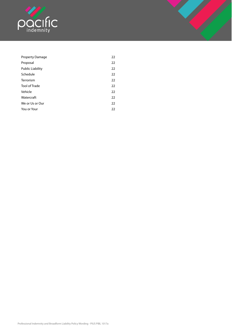

| <b>Property Damage</b>  | 22 |
|-------------------------|----|
| Proposal                | 22 |
| <b>Public Liability</b> | 22 |
| Schedule                | 22 |
| Terrorism               | 22 |
| <b>Tool of Trade</b>    | 22 |
| Vehicle                 | 22 |
| Watercraft              | 22 |
| We or Us or Our         | 22 |
| You or Your             | 22 |
|                         |    |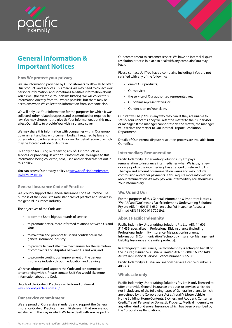<span id="page-4-0"></span>

## **General Information & Important Notices**

## **How We protect your privacy**

We use information provided by Our customers to allow Us to offer Our products and services. This means We may need to collect Your personal information, and sometimes sensitive information about You as well (for example, Your claims history). We will collect this information directly from You where possible, but there may be occasions when We collect this information from someone else.

We will only use Your information for the purposes for which it was collected, other related purposes and as permitted or required by law. You may choose not to give Us Your information, but this may affect Our ability to provide You with insurance cover.

We may share this information with companies within Our group, government and law enforcement bodies if required by law and others who provide services to Us or on Our behalf, some of which may be located outside of Australia.

By applying for, using or renewing any of Our products or services, or providing Us with Your information, You agree to this information being collected, held, used and disclosed as set out in this policy.

You can access Our privacy policy at www.pacificindemnity.com. au/privacy-policy

## **General Insurance Code of Practice**

We proudly support the General Insurance Code of Practice. The purpose of the Code is to raise standards of practice and service in the general insurance industry.

The objectives of the Code are:

- to commit Us to high standards of service;
- to promote better, more informed relations between Us and You;
- to maintain and promote trust and confidence in the general insurance industry;
- to provide fair and effective mechanisms for the resolution of complaints and disputes between Us and You; and
- to promote continuous improvement of the general insurance industry through education and training.

We have adopted and support the Code and are committed to complying with it. Please contact Us if You would like more information about the Code.

Details of the Code of Practice can be found on-line at: www.codeofpractice.com.au/

### **Our service commitment**

We are proud of Our service standards and support the General Insurance Code of Practice. In an unlikely event that You are not satisfied with the way in which We have dealt with You, as part of

Our commitment to customer service, We have an internal dispute resolution process in place to deal with any complaint You may have.

Please contact Us if You have a complaint, including if You are not satisfied with any of the following:

- one of Our products;
- Our service;
- the service of Our authorised representatives;
- Our claims representatives; or
- Our decision on Your claim.

Our staff will help You in any way they can. If they are unable to satisfy Your concerns, they will refer the matter to their supervisor or manager. If the manager cannot resolve the matter, the manager will escalate the matter to Our Internal Dispute Resolution Department.

Details of Our internal dispute resolution process are available from Our office.

### **Intermediary Remuneration**

Pacific Indemnity Underwriting Solutions Pty Ltd pays remuneration to insurance intermediaries when We issue, renew or vary a policy the intermediary has arranged or referred to Us. The type and amount of remuneration varies and may include commission and other payments. If You require more information about remuneration We may pay Your intermediary You should ask Your intermediary.

### **We, Us and Our**

For the purposes of this General Information & Important Notices, 'We', 'Us' and 'Our' means Pacific Indemnity Underwriting Solutions Pty Ltd ABN 14 606 511 639 - on behalf of Insurance Australia Limited ABN 11 000 016 722 (IAL).

### **About Pacific Indemnity**

Pacific Indemnity Underwriting Solutions Pty Ltd, ABN 14 606 511 639, specialises in Professional Risk insurance (including Professional Indemnity Insurance, Malpractice Insurance, Information & Communication Technology Insurance, Management Liability Insurance and similar products).

In arranging this insurance, Pacific Indemnity is acting on behalf of the insurer, Insurance Australia Limited ABN 11 000 016 722. IAL's Australian Financial Service Licence number is 227681.

Pacific Indemnity's Australian Financial Service Licence number is 480863.

### **Wholesale only**

Pacific Indemnity Underwriting Solutions Pty Ltd is only licensed to offer or provide General Insurance products or services which do not include any of the following types of General Insurance (which are defined by the Corporations Act as "retail"): Motor Vehicle, Home Building, Home Contents, Sickness and Accident, Consumer Credit, Travel, Personal or Domestic Property, Medical Indemnity or any other kind of General Insurance which has been prescribed by the Corporations Regulations.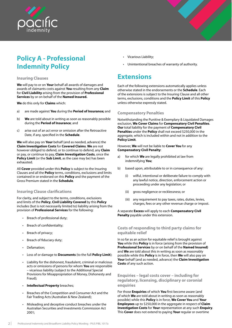<span id="page-5-0"></span>

## **Policy A - Professional Indemnity Policy**

## **Insuring Clauses**

**We** will pay to or on **Your** behalf all awards of damages and awards of claimants costs against **You** resulting from any **Claim** for **Civil Liability** arising from the provision of **Professional Services** by or on behalf of the **Named Insured.**

**We** do this only for **Claims** which:

- a) are made against **You** during the **Period of Insurance;** and
- b) **We** are told about in writing as soon as reasonably possible during the **Period of Insurance**; and
- c) arise out of an act error or omission after the Retroactive Date, if any, specified in the **Schedule**.

**We** will also pay on **Your** behalf (and as needed, advance) the **Claim Investigation Costs** for **Covered Claims**. **We** are not however obliged to defend, or to continue to defend, any **Claim**  or pay, or continue to pay, **Claim Investigation Costs**, once the **Policy Limit** (or the **Sub Limit**, as the case may be) has been exhausted.

All **Cover** provided under this **Policy** is subject to the Insuring Clauses and all the **Policy** terms, conditions, exclusions and limits contained in or endorsed on this **Policy** and the payment of the Gross Premium stated in the **Schedule**.

## **Insuring Clause clarifications**

For clarity, and subject to the terms, conditions, exclusions and limits of the **Policy**, **Civil Liability Covered** by this **Policy**  includes (but is not necessarily limited to) liability arising from the provision of **Professional Services** for the following:

- Breach of professional duty;
- Breach of confidentiality;
- Breach of privacy;
- Breach of fiduciary duty;
- Defamation;
- Loss of or damage to **Documents** (to the full **Policy Limit**);
- Liability for the dishonest, fraudulent, criminal or malicious acts or omissions of persons for whom **You** are responsible – vicarious liability (subject to the Additional Special Provisions for Misappropriation of Money, Dishonesty and Fraud);
- **Intellectual Property** breaches;
- Breaches of the Competition and Consumer Act and the Fair Trading Acts (Australian & New Zealand);
- Misleading and deceptive conduct breaches under the Australian Securities and Investments Commission Act 2001;
- Vicarious Liability;
- Unintentional breaches of warranty of authority.

## **Extensions**

Each of the following extensions automatically applies unless otherwise stated in the endorsements or the **Schedule**. Each of the extensions is subject to the Insuring Clause and all other terms, exclusions, conditions and the **Policy Limit** of this **Policy**  unless otherwise expressly stated.

## **Compensatory Penalties**

Notwithstanding the Punitive & Exemplary & Liquidated Damages exclusion, **We Cover Claims** for **Compensatory Civil Penalties**. **Our** total liability for the payment of **Compensatory Civil Penalties** under the **Policy** shall not exceed \$250,000 in the aggregate, which is included within and not in addition to the **Policy Limit**.

However, **We** will not be liable to **Cover You** for any **Compensatory Civil Penalty**:

- a) for which **We** are legally prohibited at law from indemnifying **You**;
- b) based upon, attributable to or in consequence of any:
	- wilful, intentional or deliberate failure to comply with any lawful notice, direction, enforcement action or proceeding under any legislation; or
	- (ii) gross negligence or recklessness; or
	- (iii) any requirement to pay taxes, rates, duties, levies, charges, fees or any other revenue charge or impost.

A separate **Excess** will apply to each **Compensatory Civil Penalty** payable under this extension.

## **Costs of responding to third party claims for equitable relief**

In so far as an action for equitable relief is brought against **You** while this **Policy** is in force (arising from the provision of **Professional Services** by or on behalf of the **Named Insured)**  and **We** are told about this in writing as soon as reasonably possible while this **Policy** is in force, then **We** will also pay on **Your** behalf (and as needed, advance) the **Claim Investigation Costs** of any such action.

**Enquiries – legal costs cover – including for regulatory, licensing, disciplinary or coronial enquiries**

For those **Enquiries** of which **You** first become aware (and of which **We** are told about in writing as soon as reasonably possible) while this **Policy** is in force, **We Cover You** and **Your Employees** up to \$250,000 in the aggregate in respect of **Claim Investigation Costs** for **Your** representation at any such **Enquiry**. This **Cover** does not extend to paying **Your** regular or overtime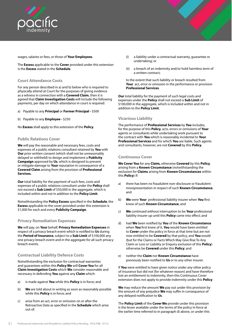<span id="page-6-0"></span>

wages, salaries or fees, or those of **Your Employees**.

The **Excess** applicable to the **Cover** provided under this extension is the **Excess** stated in the **Schedule**.

## **Court Attendance Costs**

For any person described in a) and b) below who is required to physically attend at Court for the purposes of giving evidence as a witness in connection with a **Covered Claim**, then it is agreed that **Claim Investigation Costs** will include the following payments, per day on which attendance in court is required:

- a) Payable to any **Principal** or **Former Principal** \$500
- b) Payable to any **Employee** \$250

No **Excess** shall apply to this extension of the **Policy**.

## **Public Relations Cover**

**We** will pay the reasonable and necessary fees, costs and expenses of a public relations consultant retained by **You** with **Our** prior written consent (which shall not be unreasonably delayed or withheld) to design and implement a **Publicity Campaign** approved by **Us**, which is designed to prevent or mitigate damage to **Your** reputation in consequence of a **Covered Claim** arising from the provision of **Professional Services.**

**Our** total liability for the payment of such fees, costs and expenses of a public relations consultant under the **Policy** shall not exceed a **Sub Limit** of \$50,000 in the aggregate, which is included within and not in addition to the **Policy Limit**.

Notwithstanding the **Policy Excess** specified in the **Schedule**, the **Excess** applicable to the cover provided under this extension is \$1,000 for each and every **Publicity Campaign**.

## **Privacy Remediation Expenses**

**We** will pay, on **Your** behalf, **Privacy Remediation Expenses** in respect of a privacy breach event which is notified to **Us** during the **Period of Insurance**, subject to a **Sub Limit** of \$100,000 any one privacy breach event and in the aggregate for all such privacy breach events.

## **Contractual Liability Defence Costs**

Notwithstanding the exclusion for contractual warranties and guarantees within this **Policy We** will **Cover You** for all **Claim Investigation Costs** which **We** consider reasonable and necessary in defending **You** against any **Claim** which:

- a) is made against **You** while this **Policy** is in force; and
- b) **We** are told about in writing as soon as reasonably possible while this **Policy** is in force; and
- c) arise from an act, error or omission on or after the Retroactive Date as specified in the **Schedule** which arise out of:
- (i) a liability under a contractual warranty, guarantee or undertaking; or
- (ii) a breach of an indemnity and/or hold harmless term of a written contract;

to the extent that such liability or breach resulted from **Your** act, error or omission in the performance or provision **Professional Services**.

**Our** total liability for the payment of such legal costs and expenses under the **Policy** shall not exceed a **Sub Limit** of \$100,000 in the aggregate, which is included within and not in addition to the **Policy Limit**.

## **Vicarious Liability**

The performance of **Professional Services** by **You** includes, for the purpose of this **Policy**, acts, errors or omissions of **Your** agents or consultants while undertaking work pursuant to the contract with **You** which is reasonably incidental to **Your Professional Services** and for which **You** are liable. Such agents and consultants, however, are not **Covered** by this **Policy**.

## **Continuous Cover**

**We Cover You** for any **Claim,** otherwise **Covered** by this **Policy**, arising from a **Known Circumstance** (notwithstanding the exclusion for **Claims** arising from **Known Circumstances** within this **Policy**) if:

- a) there has been no fraudulent non-disclosure or fraudulent misrepresentation in respect of such **Known Circumstance**; and
- b) **We** were **Your** professional liability insurer when **You** first knew of such **Known Circumstance**; and
- c) **We** continued without interruption to be **Your** professional liability insurer up until this **Policy** came into effect; and
- d) had **We** been notified by **You** of the **Known Circumstance**  when **You** first knew of it, **You** would have been entitled to **Cover** under the policy in force at that time but are not now entitled to be **Covered** by that policy, and **You** would (but for the Claims or Facts Which May Give Rise To Any Claim or Loss or Liability or Enquiry exclusion of this **Policy**) otherwise be **Covered** under this **Policy**; and
- e) neither the **Claim** nor **Known Circumstance** have previously been notified to **Us** or to any other insurer.

If **You** were entitled to have given notice under any other policy of insurance but did not (for whatever reason) and have therefore lost an entitlement to indemnity, then this Continuous Cover extension does not apply to provide indemnity under this **Policy**.

**We** may reduce the amount **We** pay out under this provision by the amount of any prejudice **We** may suffer in consequence of any delayed notification to **Us**.

The **Policy Limit** of the **Cover We** provide under this provision is the lesser available under the terms of the policy in force at the earlier time referred to in paragraph d) above, or under this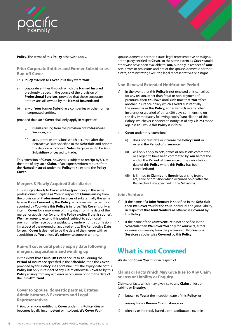<span id="page-7-0"></span>

## **Policy**. The terms of this **Policy** otherwise apply.

## **Prior Corporate Entities and Former Subsidiaries - Run-off Cover**

This **Policy** extends to **Cover** (as if they were **You**):

- a) corporate entities through which the **Named Insured**  previously traded, in the course of the provision of **Professional Services,** provided that those corporate entities are still owned by the **Named Insured**; and
- b) any of **Your** former **Subsidiary** companies or other former incorporated entities,

provided that such **Cover** shall only apply in respect of:

- (i) **Claims** arising from the provision of **Professional Services**; and
- (ii) acts, errors or omissions which occurred after the Retroactive Date specified in the **Schedule** and prior to the date on which such **Subsidiary** ceased to be **Your Subsidiary** or ceased to trade**.**

This extension of **Cover**, however, is subject to receipt by **Us**, at the time of any such **Claim**, of an express written request from the **Named Insured** under the **Policy** to so extend the **Policy Cover**.

### **Mergers & Newly Acquired Subsidiaries**

This **Policy** extends to **Cover** entities (practicing in the same professional discipline as **You**) in respect of **Claims** arising from the provision of **Professional Services** of substantially the same type as those **Covered** by this **Policy**, which are merged with or acquired by **You** while this **Policy** is in force. This **Cover** is only an interim **Cover** for a maximum of thirty days from the date of the merger or acquisition (or until the **Policy** expires if that is sooner). **We** may agree to extend this period (subject to additional premium) after receipt of a satisfactory underwriting submission in respect of the merged or acquired entity. The Retroactive Date for such **Cover** is deemed to be the date of the merger with or acquisition by **You** unless **We** otherwise agree in writing.

## **Run-off cover until policy expiry date following mergers, acquisitions and winding up**

In the event that a **Run-Off Event** occurs to **You** during the **Period of Insurance** specified in the **Schedule**, then the **Cover**  provided by this **Policy** shall continue until the expiry date of this **Policy** but only in respect of any **Claim** otherwise **Covered** by this **Policy** arising from any act, error or omission prior to the date of the **Run-Off Event**.

**Cover to Spouse, domestic partner, Estates, Administrators & Executors and Legal Representatives**

If **You**, or anyone entitled to **Cover** under this **Policy**, dies or becomes legally incompetent or insolvent, **We Cover Your**

spouse, domestic partner, estate, legal representative or assigns, or the party entitled to **Cover**, to the same extent as **Cover** would otherwise have been available to **You,** but only in respect of **Your** acts, errors or omissions and not of the spouse, domestic partner, estate, administrator, executor, legal representatives or assigns.

**Non-Renewal Extended Notification Period**

- a) In the event that this **Policy** is not renewed or is cancelled for any reason, other than fraud or non-payment of premium, then **You** have until such time that **You** effect another insurance policy which **Covers** substantially the same risk as this **Policy**, either with **Us** or any other insurer(s), or a period of thirty (30) days commencing on the day immediately following expiry/cancellation of this **Policy**, whichever is sooner, to notify **Us** of any **Claims** made against **You** while this **Policy** is in force.
- b) **Cover** under this extension:
	- (i) does not reinstate or increase the **Policy Limit** or extend the **Period of Insurance**;
	- (ii) will only apply to acts, errors or omissions committed or alleged to have been committed by **You** before the end of the **Period of Insurance** or the cancellation date of this **Policy** where this **Policy** has been cancelled; and
	- (iii) is limited to **Claims** and **Enquiries** arising from an act, error or omission which occurred on or after the Retroactive Date specified in the **Schedule**.

### **Joint Venture**

- a) If the name of a **Joint Venture** is specified in the **Schedule**, then **We Cover You** for the **Your** individual and joint liability in respect of that **Joint Venture** as otherwise **Covered** by this **Policy**.
- b) If the name of the **Joint Venture** is not specified in the **Schedule** then **We Cover You** only for **Your** acts, errors or omissions arising from the provision of **Professional Services** as otherwise **Covered** by this **Policy**.

## **What is not Covered**

**We** do not **Cover You** for or in respect of:

**Claims or Facts Which May Give Rise To Any Claim or Loss or Liability or Enquiry**

**Claims**, or facts which may give rise to any **Claim** or loss or liability or **Enquiry**:

- a) known to **You** at the inception date of this **Policy**; or
- b) arising from a **Known Circumstance**; or
- c) directly or indirectly based upon, attributable to, or in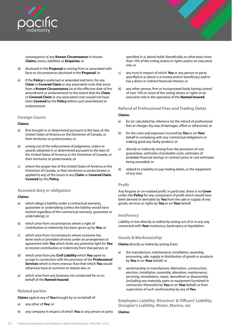<span id="page-8-0"></span>

consequence of any **Known Circumstance** or known **Claims,** losses, liabilities or **Enquiries**; or

- d) disclosed in the **Proposal** or arising from or associated with facts or circumstances disclosed in the **Proposal**; or
- e) if the **Policy** is endorsed or amended mid term, for any **Claim** or **Covered Claim** or any associated costs that arose from a **Known Circumstance** (as at the effective date of the amendment or endorsement) to the extent that the **Claim**  or **Covered Claim** or any associated costs would not have been **Covered** by the **Policy** before such amendment or endorsement.

## **Foreign Courts**

### **Claims:**

- a) first brought in or determined pursuant to the laws of, the United States of America or the Dominion of Canada, or their territories or protectorates; or
- b) arising out of the enforcement of judgments, orders or awards obtained in or determined pursuant to the laws of the United States of America or the Dominion of Canada, or their territories or protectorates; or
- c) where the proper law of the United States of America or the Dominion of Canada, or their territories or protectorates is applied to any of the issues in any **Claim** or **Covered Claim**, **Covered** by this **Policy**.

## **Assumed duty or obligation**

### **Claims:**

- a) which allege a liability under a contractual warranty, guarantee or undertaking (unless the liability would have existed regardless of the contractual warranty, guarantee or undertaking); or
- b) which arise from circumstances where a right of contribution or indemnity has been given up by **You**; or
- c) which arise from circumstances where someone has done work or provided services under an arrangement or agreement with **You** which limits any potential right for **You**  to receive contribution or indemnity from that person; or
- d) which arise from any **Civil Liability** which **You** agree to accept in connection with the provision of the **Professional Services** which is more onerous than that which **You** would otherwise have at common or statute law; or
- e) which arise from any business not conducted for or on behalf of the **Named Insured**.

## **Related parties**

**Claims** against any of **You** brought by or on behalf of:

- a) any other of **You**; or
- b) any company in respect of which **You** or any person or party

specified in a) above holds (beneficially or otherwise) more than 10% of the voting shares or rights and/or an executive role; or

- c) any trust in respect of which **You** or any person or party specified in a) above is a trustee and/or beneficiary and/or has a direct or indirect financial interest; or
- d) any other person, firm or incorporated body having control of over 10% or more of the voting shares or rights or an executive role in the operation of the **Named Insured**.

## **Refund of Professional Fees and Trading Debts**

### **Claims:**

- a) for (or calculated by reference to) the refund of professional fees or charges (by way of damages, offset or otherwise); or
- b) for the costs and expenses incurred by **You** or on **Your** behalf in complying with any contractual obligations or making good any faulty product; or
- c) directly or indirectly arising from the provision of cost guarantees, estimates of probable costs, estimates of probable financial savings or contract price or cost estimates being exceeded; or
- d) related to a liability to pay trading debts, or the repayment of any loan.

### **Profit**

Any forgone or un-realised profit. In particular, there is no **Cover**  under this **Policy** for any component of profit which would have been derived or derivable by **You** from the sale or supply of any goods, services or rights by **You** or on **Your** behalf.

### **Insolvency**

Liability or loss directly or indirectly arising out of or in any way connected with **Your** insolvency, bankruptcy or liquidation.

## **Goods & Workmanship**

**Claims** directly or indirectly arising from**:**

- a) the manufacture, maintenance, installation, assembly, processing, sale, supply or distribution of goods or products by **You** or on **Your** behalf; or
- b) workmanship in manufacture, fabrication, construction, erection, installation, assembly, alteration, maintenance, servicing, remediation, repair, demolition or disassembly (including any materials, parts or equipment furnished in connection therewith) by **You** or on **Your** behalf; or from supervision of such workmanship by any of **You**.

## **Employers Liability, Directors' & Officers' Liability, Occupier's Liability, Motor, Marine, etc**

#### **Claims:**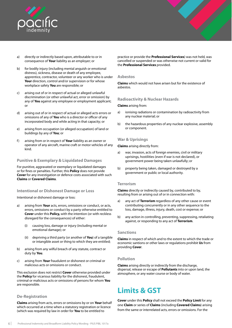<span id="page-9-0"></span>

- a) directly or indirectly based upon, attributable to or in consequence of **Your** liability as an employer; or
- b) for bodily injury (including mental anguish or emotional distress), sickness, disease or death of any employee, apprentice, contractor, volunteer or any worker who is under **Your** direction, control and/or supervision or for whose workplace safety **You** are responsible; or
- c) arising out of or in respect of actual or alleged unlawful discrimination (or other unlawful act, error or omission) by any of **You** against any employee or employment applicant; or
- d) arising out of or in respect of actual or alleged acts errors or omissions of any of **You** who is a director or officer of any incorporated body and while acting in that capacity; or
- e) arising from occupation (or alleged occupation) of land or buildings by any of **You**; or
- f) arising from or in respect of **Your** liability as an owner or operator of any aircraft, marine craft or motor vehicles of any kind.

## **Punitive & Exemplary & Liquidated Damages**

For punitive, aggravated or exemplary or liquidated damages or for fines or penalties. Further, this **Policy** does not provide **Cover** for any investigation or defence costs associated with such **Claims** or **Covered Claims**.

## **Intentional or Dishonest Damage or Loss**

Intentional or dishonest damage or loss:

- a) arising from **Your** acts, errors, omissions or conduct, or acts, errors, omissions or conduct by a party otherwise entitled to **Cover** under this **Policy,** with the intention (or with reckless disregard for the consequences) of either:
	- (i) causing loss, damage or injury (including mental or emotional damage); or
	- (ii) depriving a third party (or another of **You**) of a tangible or intangible asset or thing to which they are entitled;
- b) arising from any wilful breach of any statute, contract or duty by **You**.
- c) arising from **Your** fraudulent or dishonest or criminal or malicious acts or omissions or conduct.

This exclusion does not restrict **Cover** otherwise provided under the **Policy** for vicarious liability for the dishonest, fraudulent, criminal or malicious acts or omissions of persons for whom **You** are responsible.

## **De-Registration**

**Claims** arising from acts, errors or omissions by or on **Your** behalf which occurred at a time when a statutory registration or licence (which was required by law in order for **You** to be entitled to

practice or provide the **Professional Services**) was not held, was cancelled or suspended or was otherwise not current or valid for the **Professional Services** provided.

### **Asbestos**

**Claims** which would not have arisen but for the existence of asbestos.

## **Radioactivity & Nuclear Hazards**

#### **Claims** arising from:

- a) ionising radiations or contamination by radioactivity from any nuclear material; or
- b) the hazardous properties of any nuclear explosive, assembly or component.

## **War & Uprisings**

**Claims** arising directly from:

- a) war, invasion, acts of foreign enemies, civil or military uprisings, hostilities (even if war is not declared), or government power being taken unlawfully; or
- b) property being taken, damaged or destroyed by a government or public or local authority.

### **Terrorism**

**Claims** directly or indirectly caused by, contributed to by, resulting from or arising out of or in connection with:

- a) any act of **Terrorism** regardless of any other cause or event contributing concurrently or in any other sequence to the loss, damage, illness, injury, death, cost or expense; or
- b) any action in controlling, preventing, suppressing, retaliating against, or responding to any act of **Terrorism**.

### **Sanctions**

**Claims** in respect of which and to the extent to which the trade or economic santions or other laws or regulations prohibit **Us** from providing **Cover**.

## **Pollution**

**Claims** arising directly or indirectly from the discharge, dispersal, release or escape of **Pollutants** into or upon land, the atmosphere, or any water course or body of water.

## **Limits & GST**

**Cover** under this **Policy** shall not exceed the **Policy Limit** for any one **Claim** or series of **Claims** (including **Covered Claims**) arising from the same or interrelated acts, errors or omissions. For the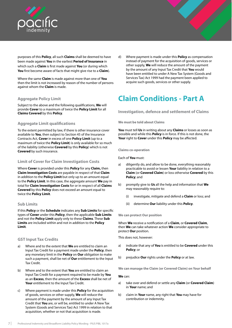<span id="page-10-0"></span>

purposes of this **Policy**, all such **Claims** shall be deemed to have been made against **You** in the earliest **Period of Insurance** in which such a **Claim** is first made against **You** (or during which **You** first become aware of facts that might give rise to a **Claim**).

Where the same **Claim** is made against more than one of **You** then the limit is not increased by reason of the number of persons against whom the **Claim** is made.

## **Aggregate Policy Limit**

Subject to the above and the following qualifications, **We** will provide **Cover** to a maximum of twice the **Policy Limit** for all **Claims Covered** by this **Policy**.

## **Aggregate Limit qualifications**

To the extent permitted by law, if there is other insurance cover available to **You**, then subject to Section 45 of the Insurance Contracts Act, **Cover** in excess of one **Policy Limit** (up to a maximum of twice the **Policy Limit**) is only available for so much of the liability (otherwise **Covered** by this **Policy**) which is not **Covered** by such insurance.

## **Limit of Cover for Claim Investigation Costs**

Where **Cover** is provided under this **Policy** for any **Claim,** then **Claim Investigation Costs** are payable in respect of that **Claim**  in addition to the **Policy Limit** but only up to an amount equal to the **Policy Limit**. In this case, the aggregate amount **We** pay in total for **Claim Investigation Costs** for or in respect of all **Claims Covered** by this **Policy** does not exceed an amount equal to twice the **Policy Limit**.

## **Sub Limits**

If this **Policy** or the **Schedule** indicates any **Sub Limits** for specific types of **Cover** under this **Policy**, then the applicable **Sub Limits**  and not the **Policy Limit** apply only to these **Claims**. These **Sub Limits** are included within and not in addition to the **Policy Limit**.

## **GST Input Tax Credits**

- a) Where and to the extent that **We** are entitled to claim an Input Tax Credit for a payment made under the **Policy**, then any monetary limit in the **Policy** on **Our** obligation to make such a payment, shall be net of **Our** entitlement to the Input Tax Credit.
- b) Where and to the extent that **You** are entitled to claim an Input Tax Credit for a payment required to be made by **You**  as an **Excess**, then the amount of the **Excess** shall be net of **Your** entitlement to the Input Tax Credit.
- c) Where payment is made under this **Policy** for the acquisition of goods, services or other supply, **We** will reduce the amount of the payment by the amount of any Input Tax Credit that **You** are, or will be, entitled to under A New Tax System (Goods and Services Tax) Act 1999 in relation to that acquisition, whether or not that acquisition is made.

d) Where payment is made under this **Policy** as compensation instead of payment for the acquisition of goods, services or other supply, **We** will reduce the amount of the payment by the amount of any Input Tax Credit that **You** would have been entitled to under A New Tax System (Goods and Services Tax) Act 1999 had the payment been applied to acquire such goods, services or other supply.

## **Claim Conditions - Part A**

**Investigation, defence and settlement of Claims**

#### **We must be told about Claims**

**You** must tell **Us** in writing about any **Claims** or losses as soon as possible and while this **Policy** is in force. If this is not done, the **Your** right to **Cover** under this **Policy** may be affected.

#### **Claims co-operation**

Each of **You** must:

- a) diligently do, and allow to be done, everything reasonably practicable to avoid or lessen **Your** liability in relation to a **Claim** (or **Covered Claim**) or loss otherwise **Covered** by this **Policy**; and
- b) promptly give to **Us** all the help and information that **We**  may reasonably require to:
	- (i) investigate, mitigate and defend a **Claim** or loss; and
	- (ii) determine **Our** liability under this **Policy**.

#### **We can protect Our position**

When **We** receive a notification of a **Claim**, or **Covered Claim**, then **We** can take whatever action **We** consider appropriate to protect **Our** position.

This does not, however:

- a) indicate that any of **You** is entitled to be **Covered** under this **Policy**; or
- b) prejudice **Our** rights under the **Policy** or at law.

**We can manage the Claim (or Covered Claim) on Your behalf**

#### **We** can:

- a) take over and defend or settle any **Claim** (or **Covered Claim**) in **Your** name; and
- b) claim in **Your** name, any right that **You** may have for contribution or indemnity.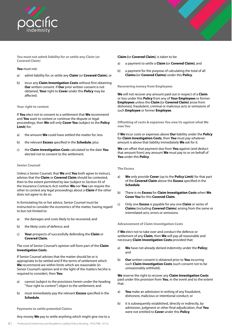

**You must not admit liability for or settle any Claim (or Covered Claim)**

#### **You** must not:

- a) admit liability for, or settle any **Claim** (or **Covered Claim**); or
- b) incur any **Claim Investigation Costs** without first obtaining **Our** written consent. If **Our** prior written consent is not obtained, **Your** right to **Cover** under this **Policy** may be affected.

#### **Your right to contest**

If **You** elect not to consent to a settlement that **We** recommend and **You** want to contest or continue the dispute or legal proceedings, then **We** will only **Cover You** (subject to the **Policy Limit**) for:

- a) the amount **We** could have settled the matter for; less
- b) the relevant **Excess** specified in the **Schedule**; plus
- c) the **Claim Investigation Costs** calculated to the date **You**  elected not to consent to the settlement.

#### **Senior Counsel**

Unless a Senior Counsel, that **We** and **You** both agree to instruct, advises that the **Claim** or **Covered Claim** should be contested, then to the extent permitted by law (subject to Section 43 of the Insurance Contracts Act) neither **We** nor **You** can require the other to contest any legal proceedings about a **Claim** if the other does not agree to do so.

In formulating his or her advice, Senior Counsel must be instructed to consider the economics of the matter, having regard to but not limited to:

- a) the damages and costs likely to be recovered; and
- b) the likely costs of defence; and
- c) **Your** prospects of successfully defending the **Claim** or **Covered Claim**.

#### The cost of Senior Counsel's opinion will form part of the **Claim Investigation Costs**.

If Senior Counsel advises that the matter should be or is appropriate to be settled and if the terms of settlement which **We** recommend are within limits which are reasonable (in Senior Counsel's opinion and in the light of the matters he/she is required to consider), then **You**:

- a) cannot (subject to the provisions herein under the heading "Your right to contest") object to the settlement; and
- b) must immediately pay the relevant **Excess** specified in the **Schedule**.

**Payments to settle potential Claims**

Any money **We** pay to settle anything which might give rise to a

- a) a payment to settle a **Claim (**or **Covered Claim)**; and
- b) a payment for the purpose of calculating the total of all **Claims (**or **Covered Claims)** under this **Policy**.

#### **Recovering money from Employees**

**We** will not recover any amount paid out in respect of a **Claim**  or loss under this **Policy** from any of **Your Employees** or former **Employees** unless the **Claim (**or **Covered Claim)** arose from dishonest, fraudulent, criminal or malicious acts or omissions of such **Employee** or former **Employee**.

**Offsetting of costs & expenses You owe Us against what We owe You**

If **We** incur costs or expenses above **Our** liability under the **Policy**  for **Claim Investigation Costs**, then **You** must pay whatever amount is above that liability immediately **We** ask for it.

**We** can offset that payment due from **You** against (and deduct that amount from) any amount **We** must pay to or on behalf of **You** under this **Policy**.

**The Excess**

- a) **We** only provide **Cover** (up to the **Policy Limit**) for that part of the **Covered Claim** above the **Excess** specified in the **Schedule**.
- b) There is no **Excess** for **Claim Investigation Costs** when **We Cover You** for this **Covered Claim**.
- c) Only one **Excess** is payable for any one **Claim** or series of **Claims** (including **Covered Claims**) arising from the same or interrelated acts, errors or omissions.

**Advancement of Claim Investigation Costs**

If **We** elect not to take over and conduct the defence or settlement of any **Claim**, then **We** will pay all reasonable and necessary **Claim Investigation Costs** provided that:

- a) **We** have not already denied indemnity under the **Policy**; and
- b) **Our** written consent is obtained prior to **You** incurring such **Claim Investigation Costs** (such consent not to be unreasonably withheld).

**We** reserve the right to recover any **Claim Investigation Costs**  paid under this provision from **You**, in the event and to the extent that:

- a) **You** make an admission in writing of any fraudulent, dishonest, malicious or intentional conduct; or
- b) it is subsequently established, directly or indirectly, by admission, judgment or other final adjudication, that **You**  were not entitled to **Cover** under this **Policy**.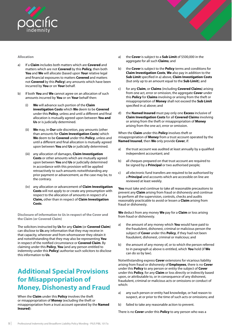<span id="page-12-0"></span>

#### **Allocation**

- a) If a **Claim** includes both matters which are **Covered** and matters which are not **Covered** by this **Policy,** then both **You** and **We** will allocate (based upon **Your** relative legal and financial exposures to matters **Covered** and matters not **Covered** by this **Policy**) any amounts which have been incurred by **You** or on **Your** behalf.
- b) If both **You** and **We** cannot agree on an allocation of such amounts incurred by **You** or on **Your** behalf then:
	- (i) **We** will advance such portion of the **Claim investigation Costs** which **We** deem to be **Covered** under this **Policy**, unless and until a different and final allocation is mutually agreed upon between **You and Us** or is judicially determined.
	- (ii) **We** may, in **Our** sole discretion, pay amounts (other than amounts for **Claim Investigation Costs**) which **We** deem to be **Covered** under this **Policy**, unless and until a different and final allocation is mutually agreed upon between **You** and **Us** or judicially determined.
	- (iii) any allocation of damages, **Claim Investigation Costs** or other amounts which are mutually agreed upon between **You** and **Us** or judicially determined in accordance with this provision will be applied retroactively to such amounts notwithstanding any prior payment or advancement, as the case may be, to the contrary.
	- (iv) any allocation or advancement of **Claim Investigation Costs** will not apply to or create any presumption with respect to the allocation of amounts in respect of a **Claim,** other than in respect of **Claim Investigation Costs**.

**Disclosure of information to Us in respect of the Cover and the Claim (or Covered Claim)**

The solicitors instructed by **Us** for any **Claim** (or **Covered Claim**) can disclose to **Us** any information that they may receive in that capacity, wherever and from whomsoever they obtain it and notwithstanding that they may also be representing **You** in respect of the notified circumstance or **Covered Claim**. By claiming under this **Policy**, **You** (and any person entitled to indemnity under this **Policy**) authorise such solicitors to disclose this information to **Us**.

## **Additional Special Provisions for Misappropriation of Money, Dishonesty and Fraud**

When the **Claim** under this **Policy** involves the theft or misappropriation of **Money** (excluding the theft or misappropriation from a trust account operated by the **Named Insured**):

- a) the **Cover** is subject to a **Sub Limit** of \$500,000 in the aggregate for all such **Claims**; and
- b) the **Cover** is subject to the **Policy** terms and conditions for **Claim Investigation Costs**, **We** also pay in addition to the **Sub Limit** specified in a) above, **Claim Investigation Costs**  (but only up to an amount equal to the **Sub Limit**); and
- c) for any **Claim**, or **Claims** (including **Covered Claims**) arising from one act, error or omission, the aggregate **Cover** under this **Policy** for **Claims** involving or arising from the theft or misappropriation of **Money** shall not exceed the **Sub Limit**  specified in a) above; and
- d) the **Named Insured** must pay only one **Excess** inclusive of **Claim Investigation Costs** for all **Covered Claims** involving or arising from the theft or misappropriation of **Money** arising from the one act, error or omission.

When the **Claim** under this **Policy** involves theft or misappropriation of **Money** from a trust account operated by the **Named Insured**, then **We** only provide **Cover**, if:

- a) the trust account was audited at least annually by a qualified independent accountant; and
- b) all cheques prepared on that trust account are required to be signed by a **Principal** or two authorised people;
- c) all electronic fund transfers are required to be authorised by a **Principal** and accounts which are accessible on line are reviewed at least weekly.

**You** must take and continue to take all reasonable precautions to prevent any **Claim** arising from fraud or dishonesty and continue to perform all the supervision, controls, checks and audits reasonably practicable to avoid or lessen a **Claim** arising from fraud or dishonesty.

**We** deduct from any money **We** pay for a **Claim** or loss arising from fraud or dishonesty.

- a) the amount of any money which **You** would have paid to the fraudulent, dishonest, criminal or malicious person the subject of **Cover** under this **Policy**, if they had not been fraudulent, dishonest, criminal or malicious; and
- b) the amount of any money of, or to which the person referred to in paragraph a) above is entitled, which **You** hold (if **We**  can do so by law).

Notwithstanding express **Cover** extensions for vicarious liability arising from fraud or dishonesty of **Employees**, there is no **Cover**  under this **Policy** to any person or entity the subject of **Cover** under this **Policy**, for any **Claim** or loss directly or indirectly based upon, or attributable to, or in consequence of any dishonest, fraudulent, criminal or malicious acts or omissions or conduct of which:

- a) any such person or entity had knowledge, or had reason to suspect, at or prior to the time of such acts or omissions; and
- b) failed to take any reasonable action to prevent.

There is no **Cover** under this **Policy** to any person who was a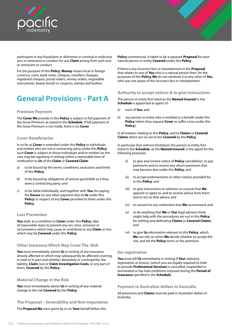<span id="page-13-0"></span>

participant in any fraudulent or dishonest or criminal or malicious acts or omissions or conduct for any **Claim** arising from such acts or omissions or conduct.

For the purpose of this **Policy**, **Money** means local or foreign currency, coins, bank notes, cheques, travellers cheques, registered cheques, postal orders, money orders, negotiable instruments, bearer bonds or coupons, stamps and bullion.

## **General Provisions - Part A**

## **Premium Payment**

The **Cover We** provide in this **Policy** is subject to full payment of the Gross Premium as stated in the **Schedule**. If full payment of the Gross Premium is not made, there is no **Cover**.

## **Cover Beneficiaries**

In so far as **Cover** is extended under this **Policy** to individuals and entities who are not a contracting party under this **Policy**, such **Cover** is subject to those individuals and/or entities (as the case may be) agreeing in writing within a reasonable time of notification to **Us** of the **Claim** or **Covered Claim**:

- a) to be bound by the terms, conditions, exclusions and limits of this **Policy**;
- b) to be bound by obligations of utmost good faith as if they were a contracting party; and
- c) to be liable individually, and together with **You**, for paying the **Excess** (or any other payment due to **Us** under this **Policy**) in respect of any **Cover** provided to them under this **Policy**.

### **Loss Prevention**

**You** shall, as a condition to **Cover** under this **Policy**, take all reasonable steps to prevent any act, error, omission or circumstance which may cause or contribute to any **Claim** or loss which may be **Covered** under this **Policy**.

### **Other Insurance Which May Cover The Risk**

**You** must immediately advise **Us** in writing of any insurance already affected or which may subsequently be affected covering, in total or in part and whether absolutely or contingently, the liability, **Claim**, loss or **Claim Investigation Costs**, or any part of them, **Covered** by this **Policy**.

### **Material Change in the Risk**

**You** must immediately advise **Us** in writing of any material change in the risk **Covered** by this **Policy**.

**The Proposal – Severability and Non-imputation**

The **Proposal We** were given by or on **Your** behalf before this

**Policy** commenced, is taken to be a separate **Proposal** for each natural person or entity **Covered** under this **Policy**.

If there is any incorrect fact or misstatement in the **Proposal**  that relates to one of **You** who is a natural person then, for the purposes of this **Policy, We** do not attribute it to any other of **You** who was not aware of the incorrect fact or misstatement.

#### **Authority to accept notices & to give instructions**

The person or entity first listed as the **Named Insured** in the **Schedule** is appointed as agent of:

- a) each of **You**; and
- b) any person or entity who is entitled to a benefit under this **Policy** (when they request **Cover** or suffer a loss under this **Policy**),

in all matters relating to this **Policy**, and to **Claims** or **Covered Claims** which are (or are to be) **Covered** by the **Policy**.

In particular (but without limitation) the person or entity first listed in the **Schedule**, as the **Named Insured**, is the agent for the following purposes:

- (i) to give and receive notice of **Policy** cancellation, to pay premiums and to receive any return premiums that may become due under this **Policy**; and
- (ii) to accept endorsements or other notices provided for in this **Policy**; and
- (iii) to give instructions to solicitors or counsel that **We**  appoint or agree to, and to receive advice from them and to act on that advice; and
- (iv) to consent to any settlement that **We** recommend; and
- (v) to do anything that **We** or **Our** legal advisers think might help with the procedures set out in this **Policy**  for settling and defending **Claims** or **Covered Claims**; and
- (vi) to give **Us** information relevant to this **Policy**, which **We** can rely on when **We** decide whether to accept the risk, and set the **Policy** terms or the premium.

## **De-registration**

**You** must tell **Us** immediately in writing if **Your** statutory registration or licence, (which you are legally required to hold to provide **Professional Services)** is cancelled, suspended or terminated or has had conditions imposed during the **Period of Insurance** specified in the **Schedule**.

## **Payment in Australian dollars in Australia**

All premiums and **Claims** must be paid in Australian dollars in Australia.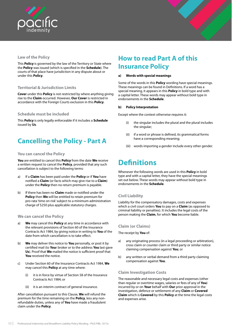<span id="page-14-0"></span>



This **Policy** is governed by the law of the Territory or State where the **Policy** was issued (which is specified in the **Schedule**). The courts of that place have jurisdiction in any dispute about or under this **Policy**.

## **Territorial & Jurisdiction Limits**

**Cover** under this **Policy** is not restricted by where anything giving rise to the **Claim** occurred. However, **Our Cover** is restricted in accordance with the Foreign Courts exclusion in this **Policy**.

## **Schedule must be included**

This **Policy** is only legally enforceable if it includes a **Schedule** issued by **Us**.

## **Cancelling the Policy - Part A**

## **You can cancel the Policy**

**You** are entitled to cancel this **Policy** from the date **We** receive a written request to cancel the **Policy**, provided that any such cancellation is subject to the following terms:

- a) If a **Claim** has been paid under the **Policy** or if **You** have notified a **Claim** (or facts which may give rise to a **Claim**) under the **Policy** then no return premium is payable.
- b) If there has been no **Claim** made or notified under the **Policy** then **We** will be entitled to retain premium for pro-rata 'time on risk' subject to a minimum administration charge of \$250 plus applicable statutory charges.

### **We can cancel the Policy**

- a) **We** may cancel this **Policy** at any time in accordance with the relevant provisions of Section 60 of the Insurance Contracts Act 1984, by giving notice in writing to **You** of the date from which cancellation is to take effect.
- b) **We** may deliver this notice to **You** personally, or post it by certified mail (to **You**r broker or to the address **You** last gave **Us**). Proof that **We** mailed the notice is sufficient proof that **You** received the notice.
- c) Under Section 60 of the Insurance Contracts Act 1984, **We**  may cancel this **Policy** at any time where:
	- (i) it is in force by virtue of Section 58 of the Insurance Contracts Act 1984; or
	- (ii) it is an interim contract of general insurance.

After cancellation pursuant to this Clause, **We** will refund the premium for the time remaining on the **Policy**, less any nonrefundable duties, unless any of **You** have made a fraudulent claim under the **Policy**.

## **How to read Part A of this Insurance Policy**

#### **a) Words with special meanings**

Some of the words in this **Policy** wording have special meanings. These meanings can be found in Definitions. If a word has a special meaning, it appears in this **Policy** in bold type and with a capital letter. These words may appear without bold type in endorsements in the **Schedule**.

#### **b) Policy Interpretation**

Except where the context otherwise requires it:

- (i) the singular includes the plural and the plural includes the singular:
- (ii) if a word or phrase is defined, its grammatical forms have a corresponding meaning;
- (iii) words importing a gender include every other gender.

## **Definitions**

Whenever the following words are used in this **Policy** in bold type and with a capital letter, they have the special meanings set out below. These words may appear without bold type in endorsements in the **Schedule**.

## **Civil Liability**

Liability for the compensatory damages, costs and expenses which a civil court orders **You** to pay on a **Claim** (as opposed to criminal liability or penalties). It includes the legal costs of the person making the **Claim**, for which **You** become liable.

## **Claim (or Claims)**

The receipt by **You** of:

- a) any originating process (in a legal proceeding or arbitration), cross claim or counter claim or third party or similar notice claiming compensation against **You**; or
- b) any written or verbal demand from a third party claiming compensation against **You**.

## **Claim Investigation Costs**

The reasonable and necessary legal costs and expenses (other than regular or overtime wages, salaries or fees of any of **You**) incurred by or on **Your** behalf with **Our** prior approval in the investigation, defence or settlement of any **Claim** or **Covered Claim** which is **Covered** by this **Policy** at the time the legal costs and expenses arise.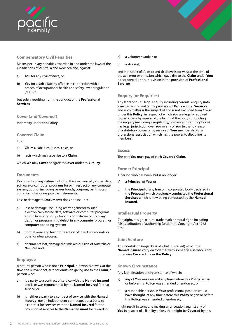<span id="page-15-0"></span>

## **Compensatory Civil Penalties**

Means pecuniary penalties awarded in and under the laws of the jurisdictions of Australia and New Zealand, against:

- a) **You** for any civil offence; or
- b) **You** for a strict liability offence in connection with a breach of occupational health and safety law or regulation ("OH&S"),

but solely resulting from the conduct of the **Professional Services**.

## **Cover (and 'Covered')**

Indemnity under this **Policy**.

## **Covered Claim**

The:

- a) **Claims**, liabilities, losses, costs; or
- b) facts which may give rise to a **Claim,**

which **We** may **Cover** or agree to **Cover** under this **Policy**.

## **Documents**

Documents of any nature including the electronically stored data, software or computer programs for or in respect of any computer system; but not including bearer bonds, coupons, bank notes, currency notes or negotiable instruments.

Loss or damage to **Documents** does not include:

- a) loss or damage (including rearrangement) to such electronically stored data, software or computer programs arising from any computer virus or malware or from any design or programming defect in any computer program or computer operating system;
- b) normal wear and tear or the action of insects or rodents or other gradual process;
- c) documents lost, damaged or mislaid outside of Australia or New Zealand.

## **Employee**

A natural person who is not a **Principal**, but who is or was, at the time the relevant act, error or omission giving rise to the **Claim**, a person who:

- a) is a party to a contract of service with the **Named Insured**  and is or was remunerated by the **Named Insured** for that service; or
- b) is neither a party to a contract of service with the **Named Insured**, nor an independent contractor, but a party to a contract for services with the **Named Insured** for the provision of services to the **Named Insured** for reward; or
- c) a volunteer worker, or
- d) a student,

and in respect of a), b), c) and d) above is (or was) at the time of the act, error or omission which gave rise to the **Claim** under **Your**  direct control and supervision in the provision of **Professional Services**.

## **Enquiry (or Enquiries)**

Any legal or quasi legal enquiry including coronial enquiry (into a matter arising out of the provision of **Professional Services** and such matter is the subject of and is not excluded from **Cover** under this **Policy**) in respect of which **You** are legally required to participate by reason of the fact that the body conducting the enquiry (including a regulatory, licensing or statutory body) has legal jurisdiction over **You** or any of **You** (either by reason of a statutory power or by reason of **Your** membership of a professional association which has the power to discipline its members).

## **Excess**

The part **You** must pay of each **Covered Claim**.

## **Former Principal**

A person who has been, but is no longer:

- a) a **Principal** of **You**; or
- b) the **Principal** of any firm or incorporated body declared in the **Proposal**, which previously conducted the **Professional Services** which is now being conducted by the **Named Insured**.

## **Intellectual Property**

Copyright, design, patent, trade mark or moral right, including false attribution of authorship (under the Copyright Act 1968 Cth).

## **Joint Venture**

An undertaking (regardless of what it is called) which the **Named Insured** carry on together with someone else who is not otherwise **Covered** under this **Policy**.

## **Known Circumstance**

Any fact, situation or circumstance of which:

- a) any of **You** was aware at any time before this **Policy** began or before this **Policy** was amended or endorsed; or
- b) a reasonable person in **Your** professional position would have thought, at any time before this **Policy** began or before this **Policy** was amended or endorsed,

might result in someone making an allegation against any of **You** in respect of a liability or loss that might be **Covered** by this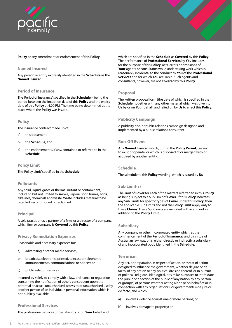<span id="page-16-0"></span>



### **Named Insured**

Any person or entity expressly identified in the **Schedule** as the **Named Insured**.

## **Period of Insurance**

The 'Period of Insurance' specified in the **Schedule** – being the period between the inception date of this **Policy** and the expiry date of this **Policy** at 4.00 PM. The time being determined at the place where the **Policy** was issued.

## **Policy**

The insurance contract made up of:

- a) this document;
- b) the **Schedule**; and
- c) the endorsements, if any, contained or referred to in the **Schedule**.

## **Policy Limit**

The 'Policy Limit' specified in the **Schedule**.

### **Pollutants**

Any solid, liquid, gases or thermal irritant or contaminant, including but not limited to smoke, vapour, soot, fumes, acids, alkalines, chemicals and waste. Waste includes material to be recycled, reconditioned or reclaimed.

### **Principal**

A sole practitioner, a partner of a firm, or a director of a company, which firm or company is **Covered** by this **Policy**.

## **Privacy Remediation Expenses**

Reasonable and necessary expenses for:

- a) advertising or other media services;
- b) broadcast, electronic, printed, telecast or telephonic announcements, communications or notices; or
- c) public relation services,

incurred by solely to comply with a law, ordinance or regulation concerning the notification of others consequent upon the potential or actual unauthorised access to or unauthorised use by another person of an individual's personal information which is not publicly available.

### **Professional Services**

The professional services undertaken by or on **Your** behalf and

which are specified in the **Schedule** as **Covered** by this **Policy**. The performance of **Professional Services** by **You** includes, for the purpose of this **Policy**, acts, errors or omissions of **Your** agents or consultants while undertaking work which is reasonably incidental to the conduct by **You** of the **Professional Services** and for which **You** are liable. Such agents and consultants, however, are not **Covered** by this **Policy**.

## **Proposal**

The written proposal form (the date of which is specified in the **Schedule**) together with any other material which was given to **Us** by or on **Your** behalf, and relied on by **Us** to effect this **Policy**.

## **Publicity Campaign**

A publicity and/or public relations campaign designed and implemented by a public relations consultant.

### **Run-Off Event**

Any **Named Insured** which, during the **Policy Period**, ceases to exist or operate, or which is disposed of or merged with or acquired by another entity.

### **Schedule**

The schedule to this **Policy** wording, which is issued by **Us**.

### **Sub Limit(s)**

The limit of **Cover** for each of the matters referred to in this **Policy** as being subject to a Sub Limit of **Cover**. If this **Policy** indicates any Sub Limits for specific types of **Cover** under this **Policy**, then the applicable Sub Limits and not the **Policy Limit** apply only to these **Claims**. These Sub Limits are included within and not in addition to the **Policy Limit**.

### **Subsidiary**

Any company or other incorporated entity which, at the commencement of the **Period of Insurance,** and by virtue of Australian law was, or is, either directly or indirectly a subsidiary of any incorporated body identified in the **Schedule.**

### **Terrorism**

Any act, or preparation in respect of action, or threat of action designed to influence the government, whether de jure or de facto, of any nation or any political division thereof, or in pursuit of political, religious, ideological, or similar purposes to intimidate the public or a section of the public of any nation by any person or group(s) of persons whether acting alone or on behalf of or in connection with any organisation(s) or government(s) de jure or de facto, and which:

- a) involves violence against one or more persons; or
- b) involves damage to property; or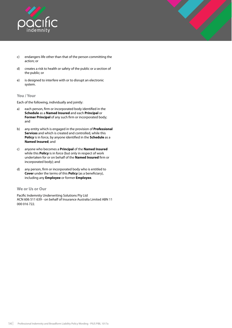<span id="page-17-0"></span>

- c) endangers life other than that of the person committing the action; or
- d) creates a risk to health or safety of the public or a section of the public; or
- e) is designed to interfere with or to disrupt an electronic system.

## **You / Your**

Each of the following, individually and jointly:

- a) each person, firm or incorporated body identified in the **Schedule** as a **Named Insured** and each **Principal** or **Former Principal** of any such firm or incorporated body; and
- b) any entity which is engaged in the provision of **Professional Services** and which is created and controlled, while this **Policy** is in force, by anyone identified in the **Schedule** as a **Named Insured**; and
- c) anyone who becomes a **Principal** of the **Named Insured**  while this **Policy** is in force (but only in respect of work undertaken for or on behalf of the **Named Insured** firm or incorporated body); and
- d) any person, firm or incorporated body who is entitled to **Cover** under the terms of this **Policy** (as a beneficiary), including any **Employee** or former **Employee**.

### **We or Us or Our**

Pacific Indemnity Underwriting Solutions Pty Ltd ACN 606 511 639 - on behalf of Insurance Australia Limited ABN 11 000 016 722.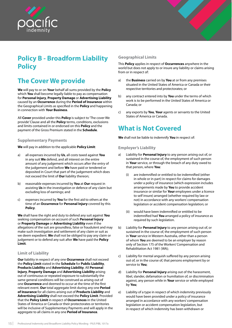<span id="page-18-0"></span>



## **Policy B - Broadform Liability Policy**

## **The Cover We provide**

**We** will pay to or on **Your** behalf all sums provided by the **Policy**  which **You** shall become legally liable to pay as compensation for **Personal Injury**, **Property Damage** or **Advertising Liability**  caused by an **Occurrence** during the **Period of Insurance** within the Geographical Limits as specified in the **Policy** and happening in connection with **Your Business**.

All **Cover** provided under this **Policy** is subject to 'The cover We provide' Clause and all the **Policy** terms, conditions, exclusions and limits contained in or endorsed on this **Policy** and the payment of the Gross Premium stated in the **Schedule**.

## **Supplementary Payments**

**We** will pay in addition to the applicable **Policy Limit**:

- a) all expenses incurred by **Us**, all costs taxed against **You**  in any suit **We** defend, and all interest on the entire amount of any judgement which occurs after the entry of the judgement and before **We** have paid or tendered or deposited in Court that part of the judgement which does not exceed the limit of **Our** liability thereon;
- b) reasonable expenses incurred by **You** at **Our** request in assisting **Us** in the investigation or defence of any claim but excluding loss of earnings; and
- c) expenses incurred by **You** for the first aid to others at the time of an **Occurrence** for **Personal Injury** covered by this **Policy**.

**We** shall have the right and duty to defend any suit against **You**  seeking compensation on account of such **Personal Injury**  or **Property Damage** or **Advertising Liability** even if the allegations of the suit are groundless, false or fraudulent and may make such investigation and settlement of any claim or suit as we deem expedient. **We** shall not be obliged to pay any claim or judgement or to defend any suit after **We** have paid the **Policy Limit**.

## **Limit of Liability**

**Our** liability in respect of any one **Occurrence** shall not exceed the **Policy Limit** stated in the **Schedule** for **Public Liability**, **Products Liability** and **Advertising Liability**. All **Personal Injury**, **Property Damage** and **Advertising Liability** arising out of continuous or repeated exposure to substantially the same general conditions will be construed as arising out of one **Occurrence** and deemed to occur at the time of the first relevant event. **Our** total aggregate limit during any one **Period of Insurance** for all claims arising out of **Products Liability** and **Advertising Liability** shall not exceed the **Policy Limit**. Provided that the **Policy Limit** in respect of **Occurrences** in the United States of America or Canada or their protectorates or territories will be inclusive of Supplementary Payments and will apply in the aggregate to all claims in any one **Period of Insurance**.

## **Geographical Limits**

This **Policy** applies in respect of **Occurrences** anywhere in the world but does not apply to or insure any liability or claims arising from or in respect of:

- a) the **Business** carried on by **You** at or from any premises situated in the United States of America or Canada or their respective territories and protectorates; or
- b) any contract entered into by **You** under the terms of which work is to be performed in the United States of America or Canada; or
- c) any exports by **You**, **Your** agents or servants to the United States of America or Canada.

## **What is Not Covered**

**We** shall not be liable to indemnify **You** in respect of:

## **Employer's Liability**

- a) Liability for **Personal Injury** to any person arising out of, or sustained in the course of, the employment of such person in **Your** service, or through the breach of any duty owed to that person, where **You**:
	- are indemnified or entitled to be indemnified (either in whole or in part) in respect for claims for damages under a policy of insurance (which expression includes arrangements made by **You** to provide accident insurance or similar for **Your** employees under a licence to self insure) arranged (whether required by law or not) in accordance with any workers' compensation legislation or accident compensation legislation; or
	- (ii) would have been indemnified or entitled to be indemnified had **You** arranged a policy of insurance as required by such legislation.
- b) Liability for **Personal Injury** to any person arising out of, or sustained in the course of, the employment of such person in **Your** service in Western Australia, other than a person of whom **You** are deemed to be an employer by reason only of Section 175 of the Workers' Compensation and Rehabilitation Act 1981 (WA);
- c) Liability for mental anguish suffered by any person arising out of, or in the course of, that persons employment by or service to **You**;
- d) Liability for **Personal Injury** arising out of the harassment, libel, slander, defamation or humiliation of, or discrimination against, any person while in **Your** service or while employed by **You**;
- e) Liability of a type in respect of which indemnity previously would have been provided under a policy of insurance arranged in accordance with any workers' compensation legislation or accident compensation legislation, but in respect of which indemnity has been withdrawn or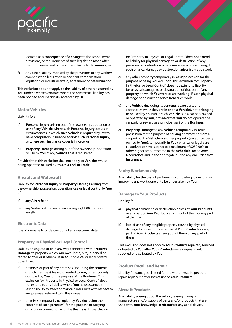<span id="page-19-0"></span>

reduced as a consequence of a change to the scope, terms, provisions, or requirements of such legislation made after the commencement of the current **Period of Insurance**; or

f) Any other liability imposed by the provisions of any workers compensation legislation or accident compensation legislation or industrial award, agreement or determination.

This exclusion does not apply to the liability of others assumed by **You** under a written contract where the contractual liability has been notified and specifically accepted by **Us**.

## **Motor Vehicles**

Liability for:

- a) **Personal Injury** arising out of the ownership, operation or use of any **Vehicle** where such **Personal Injury** occurs in circumstances in which such **Vehicle** is required by law to have compulsory insurance against such **Personal Injury**, or where such insurance cover is in force; or
- b) **Property Damage** arising out of the ownership, operation or use by **You** of any **Vehicle** that is registered.

Provided that this exclusion shall not apply to **Vehicles** whilst being operated or used by **You** as a **Tool of Trade**.

## **Aircraft and Watercraft**

Liability for **Personal Injury** or **Property Damage** arising from the ownership, possession, operation, use or legal control by **You**  of:

- a) any **Aircraft**; or
- b) any **Watercraft** or vessel exceeding eight (8) metres in length.

## **Electronic Data**

loss of, damage to or destruction of any electronic data.

## **Property in Physical or Legal Control**

Liability arising out of or in any way connected with **Property Damage** to property which **You** own, lease, hire, is loaned or rented to **You**, or is otherwise in **Your** physical or legal control other than:

- a) premises or part of any premises (including the contents of such premises), leased or rented to **You**, or temporarily occupied by **You** for the purpose of the **Business**. This exclusion for "Property in Physical or Legal Control" does not extend to any liability where **You** have assumed the responsibility to effect or maintain insurance with respect to any premises referred to In this clause
- b) premises temporarily occupied by **You** (including the contents of such premises), for the purpose of carrying out work in connection with the **Business**. This exclusion

for "Property in Physical or Legal Control" does not extend to liability for physical damage to or destruction of any premises or contents on which **You** were or are working, if such physical damage or destruction arises from such work

- c) any other property temporarily in **Your** possession for the purpose of being worked upon. This exclusion for "Property in Physical or Legal Control" does not extend to liability for physical damage to or destruction of that part of any property on which **You** were or are working, if such physical damage or destruction arises from such work;
- d) any **Vehicle** (including its contents, spare parts and accessories while they are in or on a **Vehicle**), not belonging to or used by **You** while such **Vehicle** is in a car park owned or operated by **You**, provided that **You** do not operate the car park for reward as a principal part of the **Business**;
- e) **Property Damage** to any **Vehicle** temporarily In **Your** possession for the purpose of parking or removing from a car park such a **Vehicle** any other property (except property owned by **You**), temporarily in **Your** physical or legal care, custody or control subject to a maximum of \$250,000, or other higher amount stated in the **Schedule**, for anyone **Occurrence** and in the aggregate during any one **Period of Insurance**.

## **Faulty Workmanship**

Any liability for the cost of performing, completing, correcting or improving any work done or to be undertaken by **You**.

## **Damage to Your Products**

### Liability for:

- a) physical damage to or destruction or loss of **Your Products**  or any part of **Your Products** arising out of them or any part of them; or
- b) loss of use of any tangible property caused by physical damage to or destruction or loss of **Your Products** or any part of **Your Products** arising out of them or any part of them.

This exclusion does not apply to **Your Products** repaired, serviced or treated by **You** after **Your Products** were originally sold, supplied or distributed by **You**.

## **Product Recall and Repair**

Liability for damages claimed for the withdrawal, inspection, repair, replacement or loss of use of **Your Products**.

## **Aircraft Products**

Any liability arising out of the selling, leasing, hiring or manufacture and/or supply of parts and/or products that are used with **Your** knowledge in **Aircraft** or any aerial device.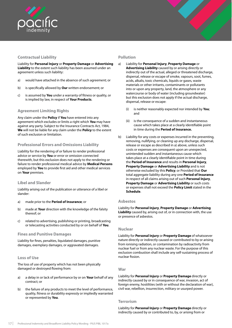<span id="page-20-0"></span>

## **Contractual Liability**

Liability for **Personal Injury** or **Property Damage** or **Advertising Liability** to the extent such liability has been assumed under an agreement unless such liability:

- a) would have attached in the absence of such agreement; or
- b) is specifically allowed by **Our** written endorsement; or
- c) is assumed by **You** under a warranty of fitness or quality, or is implied by law, in respect of **Your Products**.

## **Agreement Limiting Rights**

Any claim under the **Policy** if **You** have entered into any agreement which excludes or limits a right which **You** may have against any party. Subject to the Insurance Contracts Act, 1984, **We** will not be liable for any claim under the **Policy** to the extent of such exclusion or limitation.

## **Professional Errors and Omissions Liability**

Liability for the rendering of or failure to render professional advice or service by **You** or error or omission connected therewith, but this exclusion does not apply to the rendering or failure to render professional medical advice by **Medical Persons** employed by **You** to provide first aid and other medical services on **Your** premises.

## **Libel and Slander**

Liability arising out of the publication or utterance of a libel or slander:

- a) made prior to the **Period of Insurance**; or
- b) made at **Your** direction with the knowledge of the falsity thereof; or
- c) related to advertising, publishing or printing, broadcasting or telecasting activities conducted by or on behalf of **You**.

## **Fines and Punitive Damages**

Liability for fines, penalties, liquidated damages, punitive damages, exemplary damages, or aggravated damages.

## **Loss of Use**

The loss of use of property which has not been physically damaged or destroyed flowing from:

- a) a delay in or lack of performance by or on **Your** behalf of any contract; or
- b) the failure of any products to meet the level of performance, quality, fitness or durability expressly or impliedly warranted or represented by **You**.

## **Pollution**

- a) Liability for **Personal Injury**, **Property Damage** or **Advertising Liability** caused by or arising directly or indirectly out of the actual, alleged or threatened discharge, dispersal, release or escape of smoke, vapours, soot, fumes, acids, alkalis, toxic chemicals, liquids or gases, waste materials or other irritants, contaminants or pollutants into or upon any property, land, the atmosphere or any watercourse or body of water (including groundwater) but this exclusion does not apply if the actual discharge, dispersal, release or escape:
	- (i) is neither reasonably expected nor intended by **You**; and
	- (ii) is the consequence of a sudden and instantaneous cause which takes place at a clearly identifiable point in time during the **Period of Insurance.**
- b) Liability for any costs or expenses incurred in the preventing, removing, nullifying, or cleaning up any discharge, dispersal, release or escape as described in a) above, unless such costs or expenses are consequent upon an unexpected, unintended sudden and instantaneous cause which takes place at a clearly identifiable point in time during the **Period of Insurance** and results in **Personal Injury**, **Property Damage** or **Advertising Liability** and is not otherwise excluded by this **Policy**; or Provided that **Our**  total aggregate liability during any one **Period of Insurance**  in respect of all claims arising out of such **Personal Injury**, **Property Damage** or **Advertising Liability** or such costs or expenses shall not exceed the **Policy Limit** stated in the **Schedule**.

## **Asbestos**

Liability for **Personal Injury**, **Property Damage** or **Advertising Liability** caused by, arising out of, or in connection with, the use or presence of asbestos.

## **Nuclear**

Liability for **Personal Injury** or **Property Damage** of whatsoever nature directly or indirectly caused or contributed to by or arising from ionising radiation, or contamination by radioactivity from nuclear fuel or from any nuclear waste. For the purpose of this exclusion combustion shall include any self-sustaining process of nuclear fission.

## **War**

Liability for **Personal Injury** or **Property Damage** directly or indirectly caused by or in consequence of war, invasion, act of foreign enemy, hostilities (with or without the declaration of war), civil war, rebellion, insurrection, military or usurped power.

## **Terrorism**

Liability for **Personal Injury** or **Property Damage** directly or indirectly caused by or contributed to, by, or arising from or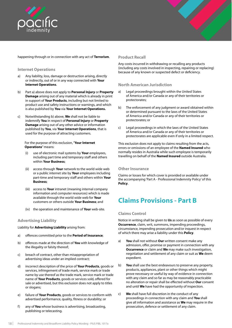<span id="page-21-0"></span>

happening through or in connection with any act of **Terrorism**.

## **Internet Operations**

- a) Any liability, loss, damage or destruction arising, directly or indirectly, out of or in any way connected with **Your Internet Operations**.
- b) Part a) above does not apply to **Personal Injury** or **Property Damage** arising out of any material which is already in print in support of **Your Products**, including but not limited to product use and safety instructions or warnings, and which is also published by **You** via **Your Internet Operations.**
- c) Notwithstanding b) above, **We** shall not be liable to indemnify **You** in respect of **Personal Injury** or **Property Damage** arising out of any other advice or information published by **You**, via **Your Internet Operations**, that is used for the purpose of attracting customers.

### For the purpose of this exclusion, "**Your Internet Operations**" means:

- (i) use of electronic mail systems by **Your** employees, including part time and temporary staff and others within **Your Business**;
- (ii) access through **Your** network to the world wide web or a public internet site by **Your** employees including part-time and temporary staff and others within **Your Business**;
- (iii) access to **Your** intranet (meaning internal company information and computer resources) which is made available through the world wide web for **Your** customers or others outside **Your Business**; and
- (iv) the operation and maintenance of **Your** web-site.

## **Advertising Liability**

Liability for **Advertising Liability** arising from:

- a) offences committed prior to the **Period of Insurance**;
- b) offences made at the direction of **You** with knowledge of the illegality or falsity thereof;
- c) breach of contract, other than misappropriation of advertising ideas under an implied contract;
- d) incorrect description of the price of **Your Products**, goods or services, infringement of trade mark, service mark or trade name by use thereof as the trade mark, service mark or trade name of **Your Products**, goods or services sold, offered for sale or advertised, but this exclusion does not apply to titles or slogans;
- e) failure of **Your Products**, goods or services to conform with advertised performance, quality, fitness or durability; or
- f) any of **You** whose business is advertising, broadcasting, publishing or telecasting.

## **Product Recall**

Any costs incurred in withdrawing or recalling any products (including any costs involved in inspecting, repairing or replacing) because of any known or suspected defect or deficiency.

## **North American Jurisdiction**

- a) Legal proceedings brought within the United States of America and/or Canada or any of their territories or protectorates;
- b) The enforcement of any judgment or award obtained within or determined pursuant to the laws of the United States of America and/or Canada or any of their territories or protectorates; or
- c) Legal proceedings in which the laws of the United States of America and/or Canada or any of their territories or protectorates are applicable even if only in a limited respect.

This exclusion does not apply to claims resulting from the acts, errors or omissions of an employee of the **Named Insured** who normally resides in Australia while such employee is temporarily travelling on behalf of the **Named Insured** outside Australia.

## **Other Insurance**

Claims or losses for which cover is provided or available under the accompanying 'Part A - Professional Indemnity Policy' of this **Policy**.

## **Claims Provisions - Part B**

## **Claims Control**

Notice in writing shall be given to **Us** as soon as possible of every **Occurrence**, claim, writ, summons, impending proceedings, circumstance, impending prosecution and/or inquest in respect of which there may arise a liability under this **Policy**.

- a) **You** shall not without **Our** written consent make any admission, offer, promise or payment in connection with any **Occurrence** or claim and **We** may make such investigation, negotiation and settlement of any claim or suit as **We** deem expedient.
- b) **You** shall use the best endeavours to preserve any property, products, appliances, plant or other things which might prove necessary or useful by way of evidence in connection with any claim and so far as may be reasonably practicable no alteration or repair shall be effected without **Our** consent and until **We** have had the opportunity of inspection.
- c) **We** shall have full discretion in the conduct of any proceedings in connection with any claim and **You** shall give all information and assistance as **We** may require in the prosecution, defence or settlement of any claim.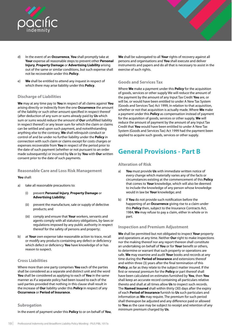<span id="page-22-0"></span>

- d) In the event of an **Occurrence**, **You** shall promptly take at **Your** expense all reasonable steps to prevent other **Personal Injury**, **Property Damage** or **Advertising Liability** arising out of the same or similar conditions, but such expense shall not be recoverable under this **Policy**.
- e) **We** shall be entitled to attend any inquest in respect of which there may arise liability under this **Policy**.

## **Discharge of Liabilities**

**We** may at any time pay to **You** in respect of all claims against **You**  arising directly or indirectly from the one **Occurrence** the amount of the liability or such other amount specified in respect thereof (after deduction of any sum or sums already paid by **Us** which sum or sums would reduce the amount of **Our** unfulfilled liability in respect thereof) or any lesser sum for which the claim or claims can be settled and upon such payment, and notwithstanding anything else to the contrary, **We** shall relinquish conduct or control of and be under no further liability under the **Policy** in connection with such claim or claims except for costs charges or expenses recoverable from **You** in respect of the period prior to the date of such payment (whether or not pursuant to an order made subsequently) or incurred by **Us** or by **You** with **Our** written consent prior to the date of such payments.

## **Reasonable Care and Loss Risk Management**

## **You** shall:

- a) take all reasonable precautions to:
	- (i) prevent **Personal Injury**, **Property Damage** or **Advertising Liability**;
	- (ii) prevent the manufacture, sale or supply of defective products; and
	- (iii) comply and ensure that **Your** workers, servants and agents comply with all statutory obligations, by-laws or regulations imposed by any public authority in respect thereof for the safety of persons and property;
- b) at **Your** own expense take reasonable action to trace, recall or modify any products containing any defect or deficiency which defect or deficiency **You** have knowledge of or has reason to suspect.

## **Cross Liabilities**

Where more than one party comprises **You** each of the parties shall be considered as a separate and distinct unit and the word **You** shall be considered as applying to each of **You** in the same manner as if a separate policy had been issued to each of the said parties provided that nothing in this clause shall result in the increase of **Our** liability under this **Policy** in respect of any **Occurrence** or **Period of Insurance**.

## **Subrogation**

In the event of payment under this **Policy** to or on behalf of **You**,

**We** shall be subrogated to all **Your** rights of recovery against all persons and organisations and **You** shall execute and deliver instruments and papers and do all that is necessary to assist in the exercise of such rights.

## **Goods and Services Tax**

Where **We** make a payment under this **Policy** for the acquisition of goods, services or other supply We will reduce the amount of the payment by the amount of any Input Tax Credit **You** are, or will be, or would have been entitled to under A New Tax System (Goods and Services Tax) Act 1999, in relation to that acquisition, whether or not that acquisition is actually made. Where **We** make a payment under this **Policy** as compensation instead of payment for the acquisition of goods, services or other supply, **We** will reduce the amount of payment by the amount of any Input Tax Credit that **You** would have been entitled to under A New Tax System (Goods and Services Tax) Act 1999 had the payment been applied to acquire such goods, services or other supply.

## **General Provisions - Part B**

## **Alteration of Risk**

- a) **You** must provide **Us** with immediate written notice of every change which materially varies any of the facts or circumstances existing at the commencement of this **Policy**  that comes to **Your** knowledge, which will also be deemed to include the knowledge of any person whose knowledge would in law be **Your** knowledge; and
- b) If **You** do not provide such notification before the happening of an **Occurrence** giving rise to a claim under this **Policy** then, subject to the Insurance Contracts Act, 1984, **We** may refuse to pay a claim, either in whole or in part.

## **Inspection and Premium Adjustment**

**We** shall be permitted but not obligated to inspect **Your** property and operations at any time. Neither **Our** right to make inspections nor the making thereof nor any report thereon shall constitute an undertaking on behalf of **You** or for **Your** benefit or others, to determine or warrant that such property or operations are safe. **We** may examine and audit **Your** books and records at any time during the **Period of Insurance** and extensions thereof and within three (3) years after the final termination of this **Policy**, as far as they relate to the subject matter insured. If the first or renewal premium for the **Policy** or part thereof shall have been calculated on estimates furnished by **You**, then **You**  shall keep an accurate record containing all particulars relative thereto and shall at all times allow **Us** to inspect such records. The **Named Insured** shall within thirty (30) days after the expiry of each **Period of Insurance** furnish to **Us** such particulars and information as **We** may require. The premium for such period shall thereupon be adjusted and any difference paid or allowed to **You** as the case may be subject to receipt and retention of any minimum premium charged by **Us**.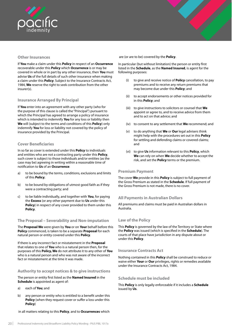<span id="page-23-0"></span>

## **Other Insurances**

If **You** make a claim under this **Policy** in respect of an **Occurrence**  recoverable under this **Policy** which **Occurrence** is or may be covered in whole or in part by any other insurance, then **You** must advise **Us** of the full details of such other insurance when making a claim under this **Policy**. Subject to the Insurance Contracts Act, 1984, **We** reserve the right to seek contribution from the other insurer(s).

## **Insurance Arranged By Principal**

If **You** enter into an agreement with any other party (who for the purpose of this clause is called the "Principal") pursuant to which the Principal has agreed to arrange a policy of insurance which is intended to indemnify **You** for any loss or liability then **We** will (subject to the terms and conditions of this **Policy**) only indemnify **You** for loss or liability not covered by the policy of insurance provided by the Principal.

## **Cover Beneficiaries**

In so far as cover is extended under this **Policy** to individuals and entities who are not a contracting party under this **Policy**, such cover is subject to those individuals and/or entities (as the case may be) agreeing in writing within a reasonable time of notification to **Us** of an **Occurrence**:

- a) to be bound by the terms, conditions, exclusions and limits of this **Policy**;
- b) to be bound by obligations of utmost good faith as if they were a contracting party; and
- c) to be liable individually, and together with **You**, for paying the **Excess** (or any other payment due to **Us** under this **Policy**) in respect of any cover provided to them under this **Policy**.

## **The Proposal – Severability and Non-imputation**

The **Proposal We** were given by **You** or on **Your** behalf before this **Policy** commenced, is taken to be a separate **Proposal** for each natural person or entity covered under this **Policy**.

If there is any incorrect fact or misstatement in the **Proposal**  that relates to one of **You** who is a natural person then, for the purposes of this **Policy, We** do not attribute it to any other of **You** who is a natural person and who was not aware of the incorrect fact or misstatement at the time it was made.

## **Authority to accept notices & to give instructions**

The person or entity first listed as the **Named Insured** in the **Schedule** is appointed as agent of:

- a) each of **You**; and
- b) any person or entity who is entitled to a benefit under this **Policy** (when they request cover or suffer a loss under this **Policy**)

in all matters relating to this **Policy**, and to **Occurrences** which

are (or are to be) covered by the **Policy**.

In particular (but without limitation) the person or entity first listed in the **Schedule**, as the **Named Insured**, is agent for the following purposes:

- (i) to give and receive notice of **Policy** cancellation, to pay premiums and to receive any return premiums that may become due under this **Policy**; and
- (ii) to accept endorsements or other notices provided for in this **Policy**; and
- (iii) to give instructions to solicitors or counsel that **We**  appoint or agree to, and to receive advice from them and to act on that advice; and
- (iv) to consent to any settlement that **We** recommend; and
- (v) to do anything that **We** or **Our** legal advisers think might help with the procedures set out in this **Policy**  for settling and defending claims or covered claims; and
- (vi) to give **Us** information relevant to this **Policy**, which **We** can rely on when **We** decide whether to accept the risk, and set the **Policy** terms or the premium.

### **Premium Payment**

The cover **We** provide in this **Policy** is subject to full payment of the Gross Premium as stated in the **Schedule**. If full payment of the Gross Premium is not made, there is no cover.

## **All Payments in Australian Dollars**

All premiums and claims must be paid in Australian dollars in Australia.

## **Law of the Policy**

This **Policy** is governed by the law of the Territory or State where the **Policy** was issued (which is specified in the **Schedule**). The courts of that place have jurisdiction in any dispute about or under this **Policy**.

## **Insurance Contracts Act**

Nothing contained in this **Policy** shall be construed to reduce or waive either **Your** or **Our** privileges, rights or remedies available under the Insurance Contracts Act, 1984.

## **Schedule must be included**

This **Policy** is only legally enforceable if it includes a **Schedule** issued by **Us**.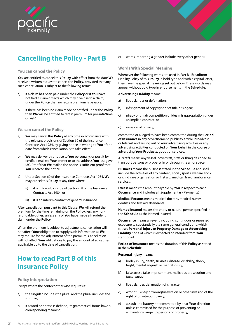<span id="page-24-0"></span>



### **You can cancel the Policy**

**You** are entitled to cancel this **Policy** with effect from the date **We**  receive a written request to cancel the **Policy**, provided that any such cancellation is subject to the following terms:

- a) if a claim has been paid under the **Policy** or if **You** have notified a claim or facts which may give rise to a claim) under the **Policy** then no return premium is payable.
- b) if there has been no claim made or notified under the **Policy** then **We** will be entitled to retain premium for pro-rata 'time on risk'.

### **We can cancel the Policy**

- a) **We** may cancel this **Policy** at any time in accordance with the relevant provisions of Section 60 of the Insurance Contracts Act 1984, by giving notice in writing to **You** of the date from which cancellation is to take effect.
- b) **We** may deliver this notice to **You** personally, or post it by certified mail (to **You**r broker or to the address **You** last gave **Us**). Proof that **We** mailed the notice is sufficient proof that **You** received the notice.
- c) Under Section 60 of the Insurance Contracts Act 1984, **We**  may cancel this **Policy** at any time where:
	- (i) it is in force by virtue of Section 58 of the Insurance Contracts Act 1984; or
	- (ii) it is an interim contract of general insurance.

After cancellation pursuant to this Clause, **We** will refund the premium for the time remaining on the **Policy**, less any nonrefundable duties, unless any of **You** have made a fraudulent claim under the **Policy**.

When the premium is subject to adjustment, cancellation will not affect **Your** obligation to supply such information as **We**  may require for the adjustment of the premium. Cancellation will not affect **Your** obligations to pay the amount of adjustment applicable up to the date of cancellation.

## **How to read Part B of this Insurance Policy**

### **Policy Interpretation**

Except where the context otherwise requires it:

- a) the singular includes the plural and the plural includes the singular;
- b) if a word or phrase is defined, its grammatical forms have a corresponding meaning;

c) words importing a gender include every other gender.

## **Words With Special Meaning**

Whenever the following words are used in Part B - Broadform Liability Policy of this **Policy** in bold type and with a capital letter, they have the special meanings set out below. These words may appear without bold type in endorsements in the **Schedule**.

#### **Advertising Liability** means:

- a) libel, slander or defamation;
- b) infringement of copyright or of title or slogan;
- c) piracy or unfair competition or idea misappropriation under an implied contract; or
- d) invasion of privacy,

committed or alleged to have been committed during the **Period of Insurance** in any advertisement, publicity article, broadcast or telecast and arising out of **Your** advertising activities or any advertising activities conducted on **Your** behalf in the course of advertising **Your Products**, goods or services.

**Aircraft** means any vessel, hovercraft, craft or thing designed to transport persons or property in or through the air or space.

**Business** means the business stated in the **Schedule** and shall include the activities of any canteen, social, sports, welfare and / or child care organisation or first aid, medical, fire or ambulance services.

**Excess** means the amount payable by **You** in respect to each **Occurrence** and includes all 'Supplementary Payments'.

**Medical Persons** means medical doctors, medical nurses, dentists and first aid attendants.

**Named Insured** means the entity or natural person specified in the **Schedule** as the Named Insured.

**Occurrence** means an event including continuous or repeated exposure to substantially the same general conditions, which causes **Personal Injury** or **Property Damage** or **Advertising Liability** none of which is expected or intended from **Your** standpoint.

**Period of Insurance** means the duration of this **Policy** as stated in the **Schedule**.

#### **Personal Injury** means:

- a) bodily injury, death, sickness, disease, disability, shock, fright, mental anguish or mental injury;
- b) false arrest, false imprisonment, malicious prosecution and humiliation;
- c) libel, slander, defamation of character;
- d) wrongful entry or wrongful eviction or other invasion of the right of private occupancy;
- e) assault and battery not committed by or at **Your** direction unless committed for the purpose of preventing or eliminating danger to persons or property,